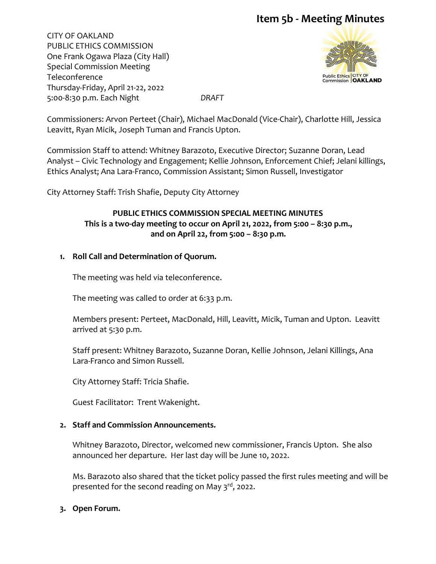CITY OF OAKLAND PUBLIC ETHICS COMMISSION One Frank Ogawa Plaza (City Hall) Special Commission Meeting Teleconference Thursday-Friday, April 21-22, 2022 5:00-8:30 p.m. Each Night *DRAFT*



Commissioners: Arvon Perteet (Chair), Michael MacDonald (Vice-Chair), Charlotte Hill, Jessica Leavitt, Ryan Micik, Joseph Tuman and Francis Upton.

Commission Staff to attend: Whitney Barazoto, Executive Director; Suzanne Doran, Lead Analyst – Civic Technology and Engagement; Kellie Johnson, Enforcement Chief; Jelani killings, Ethics Analyst; Ana Lara-Franco, Commission Assistant; Simon Russell, Investigator

City Attorney Staff: Trish Shafie, Deputy City Attorney

# **PUBLIC ETHICS COMMISSION SPECIAL MEETING MINUTES This is a two-day meeting to occur on April 21, 2022, from 5:00 – 8:30 p.m., and on April 22, from 5:00 – 8:30 p.m.**

# **1. Roll Call and Determination of Quorum.**

The meeting was held via teleconference.

The meeting was called to order at 6:33 p.m.

Members present: Perteet, MacDonald, Hill, Leavitt, Micik, Tuman and Upton. Leavitt arrived at 5:30 p.m.

Staff present: Whitney Barazoto, Suzanne Doran, Kellie Johnson, Jelani Killings, Ana Lara-Franco and Simon Russell.

City Attorney Staff: Tricia Shafie.

Guest Facilitator: Trent Wakenight.

## **2. Staff and Commission Announcements.**

Whitney Barazoto, Director, welcomed new commissioner, Francis Upton. She also announced her departure. Her last day will be June 10, 2022.

Ms. Barazoto also shared that the ticket policy passed the first rules meeting and will be presented for the second reading on May 3<sup>rd</sup>, 2022.

## **3. Open Forum.**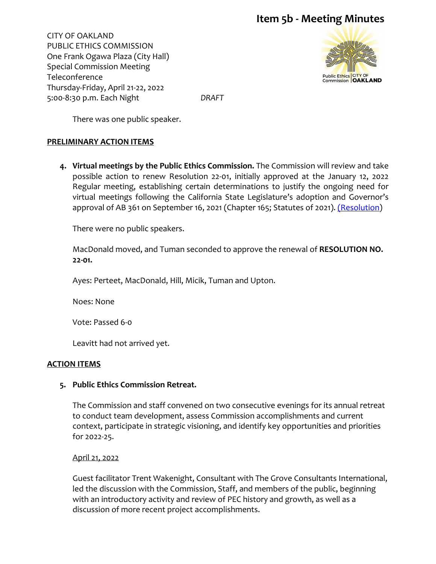CITY OF OAKLAND PUBLIC ETHICS COMMISSION One Frank Ogawa Plaza (City Hall) Special Commission Meeting Teleconference Thursday-Friday, April 21-22, 2022 5:00-8:30 p.m. Each Night *DRAFT*



There was one public speaker.

#### **PRELIMINARY ACTION ITEMS**

**4. Virtual meetings by the Public Ethics Commission.** The Commission will review and take possible action to renew Resolution 22-01, initially approved at the January 12, 2022 Regular meeting, establishing certain determinations to justify the ongoing need for virtual meetings following the California State Legislature's adoption and Governor's approval of AB 361 on September 16, 2021 (Chapter 165; Statutes of 2021). [\(Resolution\)](https://cao-94612.s3.amazonaws.com/documents/Resolution-22-01-Renewal-Meet-by-Teleconference-PROPOSED-RENEWAL-4-21-22-and-4-22-22.pdf)

There were no public speakers.

MacDonald moved, and Tuman seconded to approve the renewal of **RESOLUTION NO. 22-01.** 

Ayes: Perteet, MacDonald, Hill, Micik, Tuman and Upton.

Noes: None

Vote: Passed 6-0

Leavitt had not arrived yet.

#### **ACTION ITEMS**

## **5. Public Ethics Commission Retreat.**

The Commission and staff convened on two consecutive evenings for its annual retreat to conduct team development, assess Commission accomplishments and current context, participate in strategic visioning, and identify key opportunities and priorities for 2022-25.

April 21, 2022

Guest facilitator Trent Wakenight, Consultant with The Grove Consultants International, led the discussion with the Commission, Staff, and members of the public, beginning with an introductory activity and review of PEC history and growth, as well as a discussion of more recent project accomplishments.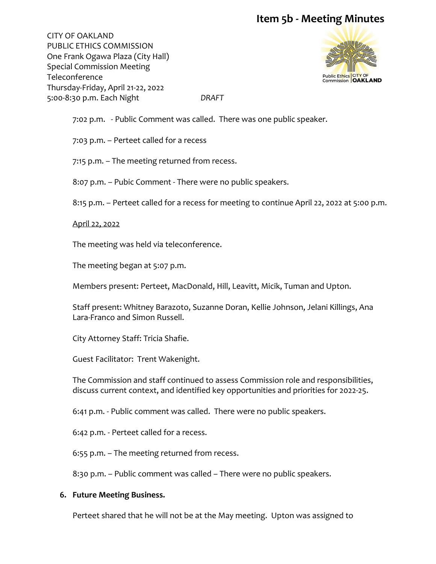CITY OF OAKLAND PUBLIC ETHICS COMMISSION One Frank Ogawa Plaza (City Hall) Special Commission Meeting Teleconference Thursday-Friday, April 21-22, 2022 5:00-8:30 p.m. Each Night *DRAFT*



7:02 p.m. - Public Comment was called. There was one public speaker.

7:03 p.m. – Perteet called for a recess

7:15 p.m. – The meeting returned from recess.

8:07 p.m. – Pubic Comment - There were no public speakers.

8:15 p.m. – Perteet called for a recess for meeting to continue April 22, 2022 at 5:00 p.m.

April 22, 2022

The meeting was held via teleconference.

The meeting began at 5:07 p.m.

Members present: Perteet, MacDonald, Hill, Leavitt, Micik, Tuman and Upton.

Staff present: Whitney Barazoto, Suzanne Doran, Kellie Johnson, Jelani Killings, Ana Lara-Franco and Simon Russell.

City Attorney Staff: Tricia Shafie.

Guest Facilitator: Trent Wakenight.

The Commission and staff continued to assess Commission role and responsibilities, discuss current context, and identified key opportunities and priorities for 2022-25.

6:41 p.m. - Public comment was called. There were no public speakers.

6:42 p.m. - Perteet called for a recess.

6:55 p.m. – The meeting returned from recess.

8:30 p.m. – Public comment was called – There were no public speakers.

## **6. Future Meeting Business.**

Perteet shared that he will not be at the May meeting. Upton was assigned to